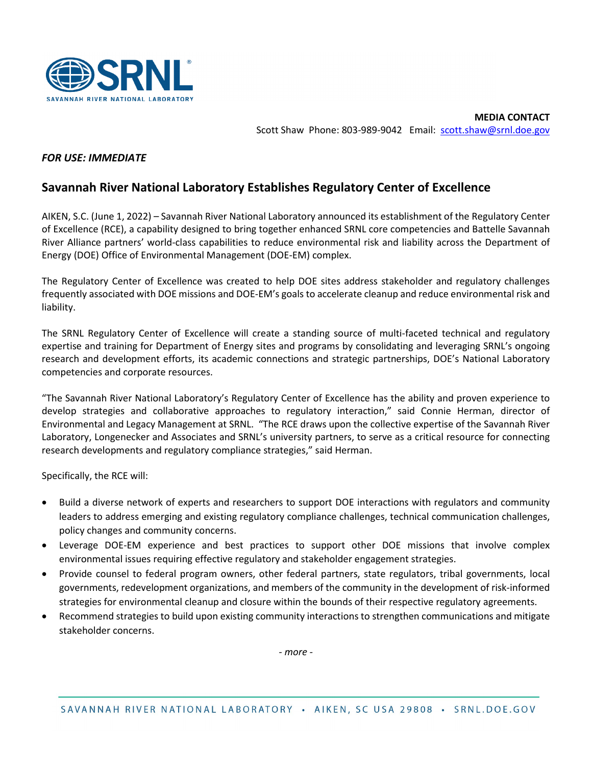

## *FOR USE: IMMEDIATE*

## **Savannah River National Laboratory Establishes Regulatory Center of Excellence**

AIKEN, S.C. (June 1, 2022) – Savannah River National Laboratory announced its establishment of the Regulatory Center of Excellence (RCE), a capability designed to bring together enhanced SRNL core competencies and Battelle Savannah River Alliance partners' world-class capabilities to reduce environmental risk and liability across the Department of Energy (DOE) Office of Environmental Management (DOE-EM) complex.

The Regulatory Center of Excellence was created to help DOE sites address stakeholder and regulatory challenges frequently associated with DOE missions and DOE-EM's goals to accelerate cleanup and reduce environmental risk and liability.

The SRNL Regulatory Center of Excellence will create a standing source of multi-faceted technical and regulatory expertise and training for Department of Energy sites and programs by consolidating and leveraging SRNL's ongoing research and development efforts, its academic connections and strategic partnerships, DOE's National Laboratory competencies and corporate resources.

"The Savannah River National Laboratory's Regulatory Center of Excellence has the ability and proven experience to develop strategies and collaborative approaches to regulatory interaction," said Connie Herman, director of Environmental and Legacy Management at SRNL. "The RCE draws upon the collective expertise of the Savannah River Laboratory, Longenecker and Associates and SRNL's university partners, to serve as a critical resource for connecting research developments and regulatory compliance strategies," said Herman.

Specifically, the RCE will:

- Build a diverse network of experts and researchers to support DOE interactions with regulators and community leaders to address emerging and existing regulatory compliance challenges, technical communication challenges, policy changes and community concerns.
- Leverage DOE-EM experience and best practices to support other DOE missions that involve complex environmental issues requiring effective regulatory and stakeholder engagement strategies.
- Provide counsel to federal program owners, other federal partners, state regulators, tribal governments, local governments, redevelopment organizations, and members of the community in the development of risk-informed strategies for environmental cleanup and closure within the bounds of their respective regulatory agreements.
- Recommend strategies to build upon existing community interactions to strengthen communications and mitigate stakeholder concerns.

*- more -*